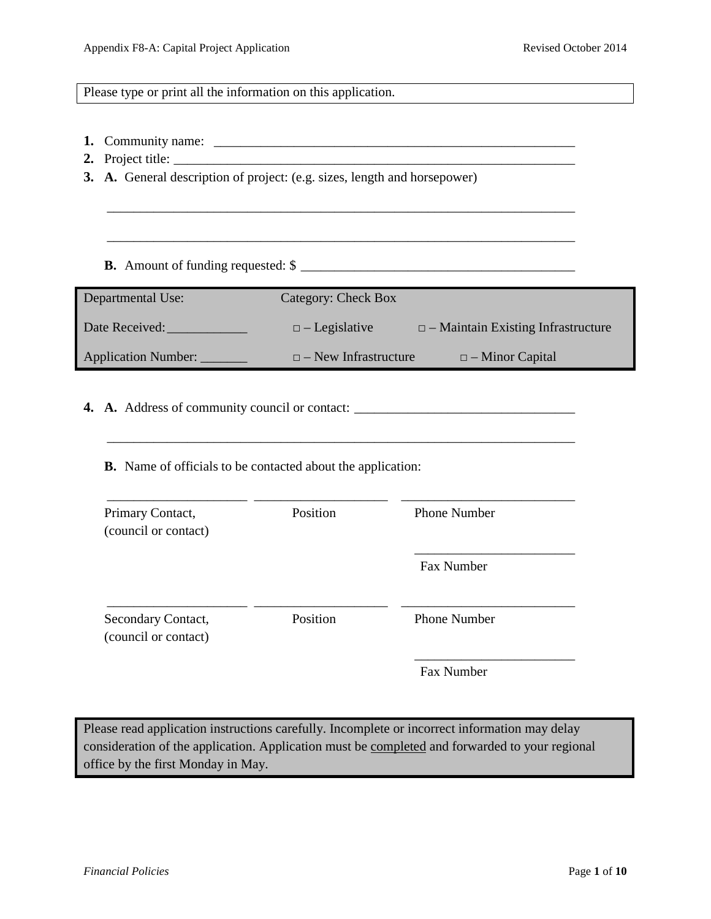Please type or print all the information on this application.

- **1.** Community name: \_\_\_\_\_\_\_\_\_\_\_\_\_\_\_\_\_\_\_\_\_\_\_\_\_\_\_\_\_\_\_\_\_\_\_\_\_\_\_\_\_\_\_\_\_\_\_\_\_\_\_\_\_\_
- **2.** Project title: \_\_\_\_\_\_\_\_\_\_\_\_\_\_\_\_\_\_\_\_\_\_\_\_\_\_\_\_\_\_\_\_\_\_\_\_\_\_\_\_\_\_\_\_\_\_\_\_\_\_\_\_\_\_\_\_\_\_\_\_
- **3. A.** General description of project: (e.g. sizes, length and horsepower)
	- **B.** Amount of funding requested: \$ \_\_\_\_\_\_\_\_\_\_\_\_\_\_\_\_\_\_\_\_\_\_\_\_\_\_\_\_\_\_\_\_\_\_\_\_\_\_\_\_\_

| Departmental Use:   | Category: Check Box         |                                           |
|---------------------|-----------------------------|-------------------------------------------|
| Date Received:      | $\Box$ - Legislative        | $\Box$ – Maintain Existing Infrastructure |
| Application Number: | $\Box$ – New Infrastructure | $\Box$ – Minor Capital                    |

\_\_\_\_\_\_\_\_\_\_\_\_\_\_\_\_\_\_\_\_\_\_\_\_\_\_\_\_\_\_\_\_\_\_\_\_\_\_\_\_\_\_\_\_\_\_\_\_\_\_\_\_\_\_\_\_\_\_\_\_\_\_\_\_\_\_\_\_\_\_

\_\_\_\_\_\_\_\_\_\_\_\_\_\_\_\_\_\_\_\_\_\_\_\_\_\_\_\_\_\_\_\_\_\_\_\_\_\_\_\_\_\_\_\_\_\_\_\_\_\_\_\_\_\_\_\_\_\_\_\_\_\_\_\_\_\_\_\_\_\_

\_\_\_\_\_\_\_\_\_\_\_\_\_\_\_\_\_\_\_\_\_\_\_\_\_\_\_\_\_\_\_\_\_\_\_\_\_\_\_\_\_\_\_\_\_\_\_\_\_\_\_\_\_\_\_\_\_\_\_\_\_\_\_\_\_\_\_\_\_\_

- **4. A.** Address of community council or contact: \_\_\_\_\_\_\_\_\_\_\_\_\_\_\_\_\_\_\_\_\_\_\_\_\_\_\_\_\_\_\_\_\_
	- **B.** Name of officials to be contacted about the application:

| Primary Contact,<br>(council or contact)   | Position | <b>Phone Number</b> |  |
|--------------------------------------------|----------|---------------------|--|
|                                            |          | Fax Number          |  |
| Secondary Contact,<br>(council or contact) | Position | <b>Phone Number</b> |  |
|                                            |          | Fax Number          |  |

Please read application instructions carefully. Incomplete or incorrect information may delay consideration of the application. Application must be completed and forwarded to your regional office by the first Monday in May.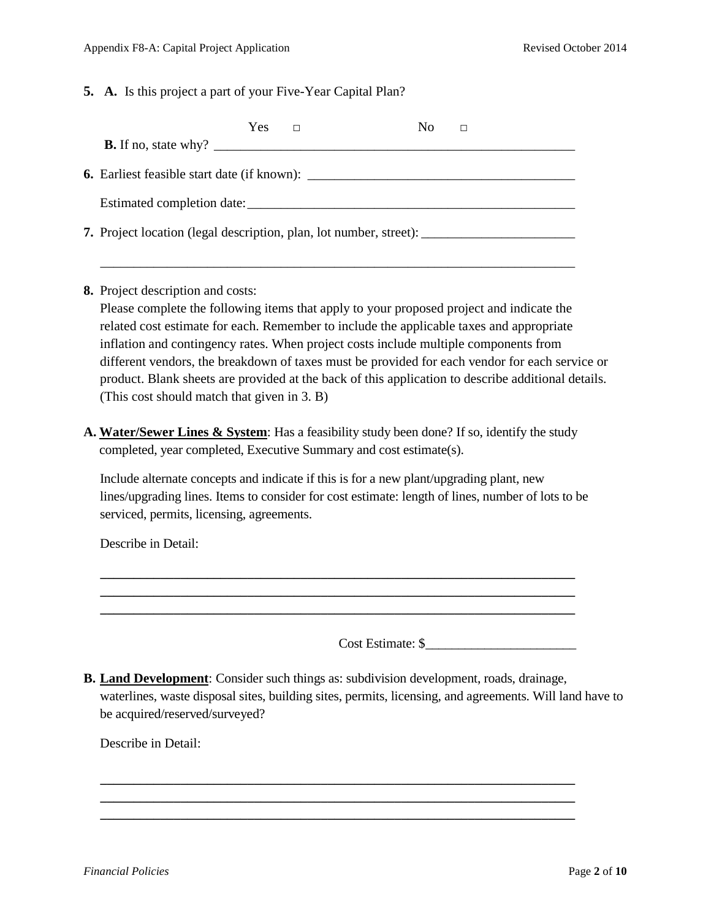**5. A.** Is this project a part of your Five-Year Capital Plan?

| Yes<br>N <sub>0</sub><br>П                                                                   |
|----------------------------------------------------------------------------------------------|
| <b>B.</b> If no, state why? $\qquad \qquad$                                                  |
| <b>6.</b> Earliest feasible start date (if known):                                           |
|                                                                                              |
| <b>7.</b> Project location (legal description, plan, lot number, street): __________________ |
|                                                                                              |

**8.** Project description and costs:

Please complete the following items that apply to your proposed project and indicate the related cost estimate for each. Remember to include the applicable taxes and appropriate inflation and contingency rates. When project costs include multiple components from different vendors, the breakdown of taxes must be provided for each vendor for each service or product. Blank sheets are provided at the back of this application to describe additional details. (This cost should match that given in 3. B)

**A. Water/Sewer Lines & System**: Has a feasibility study been done? If so, identify the study completed, year completed, Executive Summary and cost estimate(s).

Include alternate concepts and indicate if this is for a new plant/upgrading plant, new lines/upgrading lines. Items to consider for cost estimate: length of lines, number of lots to be serviced, permits, licensing, agreements.

**\_\_\_\_\_\_\_\_\_\_\_\_\_\_\_\_\_\_\_\_\_\_\_\_\_\_\_\_\_\_\_\_\_\_\_\_\_\_\_\_\_\_\_\_\_\_\_\_\_\_\_\_\_\_\_\_\_\_\_\_\_\_\_\_\_\_\_\_\_\_\_ \_\_\_\_\_\_\_\_\_\_\_\_\_\_\_\_\_\_\_\_\_\_\_\_\_\_\_\_\_\_\_\_\_\_\_\_\_\_\_\_\_\_\_\_\_\_\_\_\_\_\_\_\_\_\_\_\_\_\_\_\_\_\_\_\_\_\_\_\_\_\_ \_\_\_\_\_\_\_\_\_\_\_\_\_\_\_\_\_\_\_\_\_\_\_\_\_\_\_\_\_\_\_\_\_\_\_\_\_\_\_\_\_\_\_\_\_\_\_\_\_\_\_\_\_\_\_\_\_\_\_\_\_\_\_\_\_\_\_\_\_\_\_**

Describe in Detail:

Cost Estimate: \$\_\_\_\_\_\_\_\_\_\_\_\_\_\_\_\_\_\_\_\_\_\_\_

**B. Land Development**: Consider such things as: subdivision development, roads, drainage, waterlines, waste disposal sites, building sites, permits, licensing, and agreements. Will land have to be acquired/reserved/surveyed?

**\_\_\_\_\_\_\_\_\_\_\_\_\_\_\_\_\_\_\_\_\_\_\_\_\_\_\_\_\_\_\_\_\_\_\_\_\_\_\_\_\_\_\_\_\_\_\_\_\_\_\_\_\_\_\_\_\_\_\_\_\_\_\_\_\_\_\_\_\_\_\_ \_\_\_\_\_\_\_\_\_\_\_\_\_\_\_\_\_\_\_\_\_\_\_\_\_\_\_\_\_\_\_\_\_\_\_\_\_\_\_\_\_\_\_\_\_\_\_\_\_\_\_\_\_\_\_\_\_\_\_\_\_\_\_\_\_\_\_\_\_\_\_ \_\_\_\_\_\_\_\_\_\_\_\_\_\_\_\_\_\_\_\_\_\_\_\_\_\_\_\_\_\_\_\_\_\_\_\_\_\_\_\_\_\_\_\_\_\_\_\_\_\_\_\_\_\_\_\_\_\_\_\_\_\_\_\_\_\_\_\_\_\_\_**

Describe in Detail: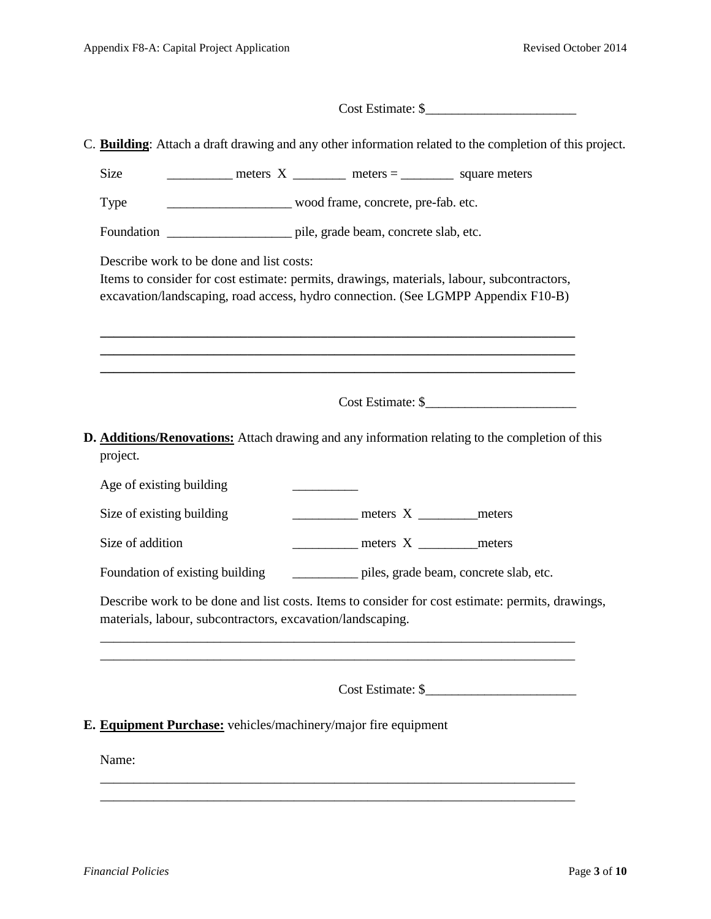| Cost Estimate: \$                                                                                                                                                                                                           |  |
|-----------------------------------------------------------------------------------------------------------------------------------------------------------------------------------------------------------------------------|--|
| C. Building: Attach a draft drawing and any other information related to the completion of this project.                                                                                                                    |  |
| <b>Size</b>                                                                                                                                                                                                                 |  |
| wood frame, concrete, pre-fab. etc.<br>Type                                                                                                                                                                                 |  |
| Foundation _______________________ pile, grade beam, concrete slab, etc.                                                                                                                                                    |  |
| Describe work to be done and list costs:<br>Items to consider for cost estimate: permits, drawings, materials, labour, subcontractors,<br>excavation/landscaping, road access, hydro connection. (See LGMPP Appendix F10-B) |  |
| D. Additions/Renovations: Attach drawing and any information relating to the completion of this<br>project.                                                                                                                 |  |
| Age of existing building                                                                                                                                                                                                    |  |
| meters X __________ meters<br>Size of existing building                                                                                                                                                                     |  |
| Size of addition<br>meters X ___________ meters                                                                                                                                                                             |  |
| ____________ piles, grade beam, concrete slab, etc.<br>Foundation of existing building                                                                                                                                      |  |
| Describe work to be done and list costs. Items to consider for cost estimate: permits, drawings,<br>materials, labour, subcontractors, excavation/landscaping.                                                              |  |
| Cost Estimate: \$                                                                                                                                                                                                           |  |
| E. Equipment Purchase: vehicles/machinery/major fire equipment                                                                                                                                                              |  |
| Name:                                                                                                                                                                                                                       |  |

\_\_\_\_\_\_\_\_\_\_\_\_\_\_\_\_\_\_\_\_\_\_\_\_\_\_\_\_\_\_\_\_\_\_\_\_\_\_\_\_\_\_\_\_\_\_\_\_\_\_\_\_\_\_\_\_\_\_\_\_\_\_\_\_\_\_\_\_\_\_\_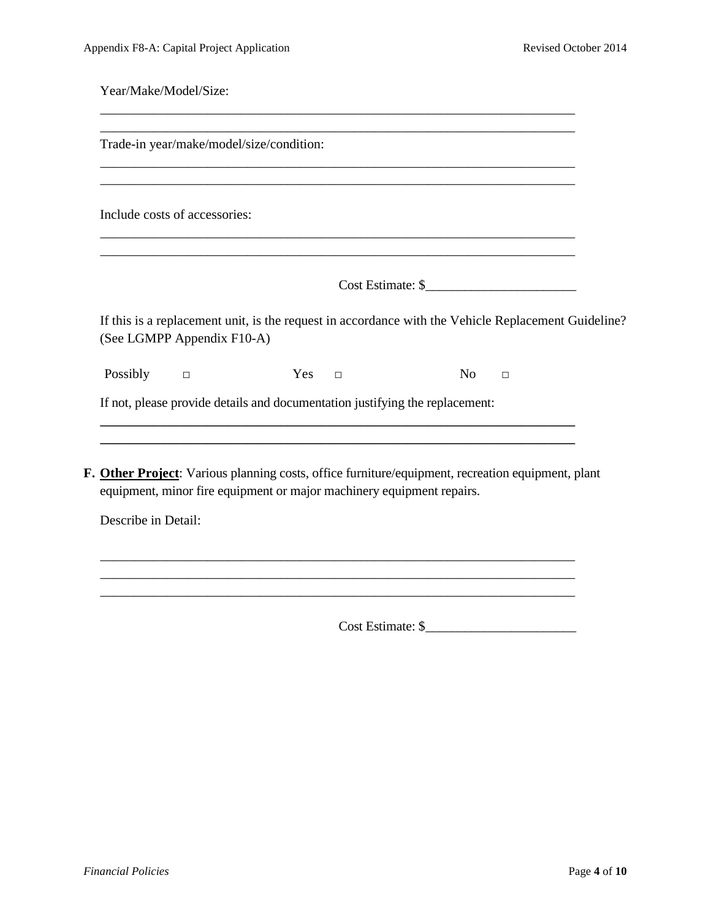| Year/Make/Model/Size:         |                                                                                                                                   |               |                                                                              |                |        |  |
|-------------------------------|-----------------------------------------------------------------------------------------------------------------------------------|---------------|------------------------------------------------------------------------------|----------------|--------|--|
|                               | Trade-in year/make/model/size/condition:                                                                                          |               |                                                                              |                |        |  |
| Include costs of accessories: |                                                                                                                                   |               |                                                                              |                |        |  |
|                               |                                                                                                                                   |               |                                                                              |                |        |  |
|                               | If this is a replacement unit, is the request in accordance with the Vehicle Replacement Guideline?<br>(See LGMPP Appendix F10-A) |               |                                                                              |                |        |  |
| Possibly $\square$            |                                                                                                                                   | $Yes \square$ |                                                                              | N <sub>0</sub> | $\Box$ |  |
|                               |                                                                                                                                   |               | If not, please provide details and documentation justifying the replacement: |                |        |  |

**F. Other Project**: Various planning costs, office furniture/equipment, recreation equipment, plant equipment, minor fire equipment or major machinery equipment repairs.

\_\_\_\_\_\_\_\_\_\_\_\_\_\_\_\_\_\_\_\_\_\_\_\_\_\_\_\_\_\_\_\_\_\_\_\_\_\_\_\_\_\_\_\_\_\_\_\_\_\_\_\_\_\_\_\_\_\_\_\_\_\_\_\_\_\_\_\_\_\_\_

\_\_\_\_\_\_\_\_\_\_\_\_\_\_\_\_\_\_\_\_\_\_\_\_\_\_\_\_\_\_\_\_\_\_\_\_\_\_\_\_\_\_\_\_\_\_\_\_\_\_\_\_\_\_\_\_\_\_\_\_\_\_\_\_\_\_\_\_\_\_\_

Describe in Detail:

Cost Estimate: \$\_\_\_\_\_\_\_\_\_\_\_\_\_\_\_\_\_\_\_\_\_\_\_

\_\_\_\_\_\_\_\_\_\_\_\_\_\_\_\_\_\_\_\_\_\_\_\_\_\_\_\_\_\_\_\_\_\_\_\_\_\_\_\_\_\_\_\_\_\_\_\_\_\_\_\_\_\_\_\_\_\_\_\_\_\_\_\_\_\_\_\_\_\_\_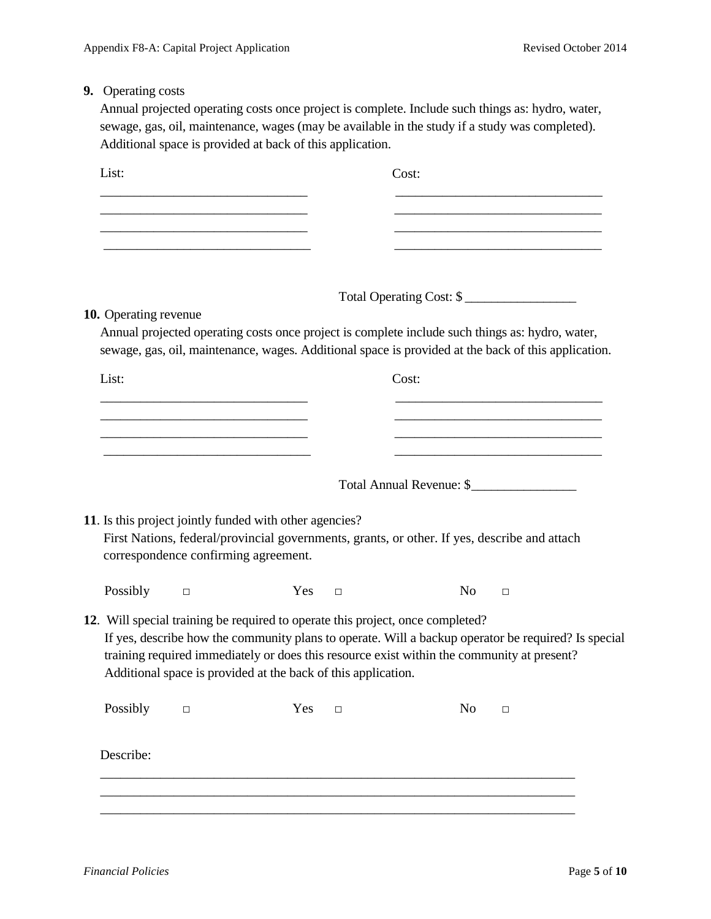## **9.** Operating costs

Annual projected operating costs once project is complete. Include such things as: hydro, water, sewage, gas, oil, maintenance, wages (may be available in the study if a study was completed). Additional space is provided at back of this application.

| List:                        |                                                                                           |                                                                                                                                                                                                                                                                                                                                                      |        | Cost:                    |                |        |  |
|------------------------------|-------------------------------------------------------------------------------------------|------------------------------------------------------------------------------------------------------------------------------------------------------------------------------------------------------------------------------------------------------------------------------------------------------------------------------------------------------|--------|--------------------------|----------------|--------|--|
|                              |                                                                                           |                                                                                                                                                                                                                                                                                                                                                      |        |                          |                |        |  |
|                              |                                                                                           |                                                                                                                                                                                                                                                                                                                                                      |        |                          |                |        |  |
|                              |                                                                                           |                                                                                                                                                                                                                                                                                                                                                      |        |                          |                |        |  |
| <b>10.</b> Operating revenue |                                                                                           |                                                                                                                                                                                                                                                                                                                                                      |        | Total Operating Cost: \$ |                |        |  |
|                              |                                                                                           | Annual projected operating costs once project is complete include such things as: hydro, water,<br>sewage, gas, oil, maintenance, wages. Additional space is provided at the back of this application.                                                                                                                                               |        |                          |                |        |  |
| List:                        |                                                                                           |                                                                                                                                                                                                                                                                                                                                                      |        | Cost:                    |                |        |  |
|                              |                                                                                           |                                                                                                                                                                                                                                                                                                                                                      |        |                          |                |        |  |
|                              |                                                                                           |                                                                                                                                                                                                                                                                                                                                                      |        |                          |                |        |  |
|                              | the control of the control of the control of the control of the control of the control of |                                                                                                                                                                                                                                                                                                                                                      |        |                          |                |        |  |
|                              |                                                                                           |                                                                                                                                                                                                                                                                                                                                                      |        | Total Annual Revenue: \$ |                |        |  |
|                              |                                                                                           | 11. Is this project jointly funded with other agencies?<br>First Nations, federal/provincial governments, grants, or other. If yes, describe and attach<br>correspondence confirming agreement.                                                                                                                                                      |        |                          |                |        |  |
| Possibly $\square$           |                                                                                           | Yes                                                                                                                                                                                                                                                                                                                                                  | $\Box$ |                          | N <sub>o</sub> | $\Box$ |  |
|                              |                                                                                           | 12. Will special training be required to operate this project, once completed?<br>If yes, describe how the community plans to operate. Will a backup operator be required? Is special<br>training required immediately or does this resource exist within the community at present?<br>Additional space is provided at the back of this application. |        |                          |                |        |  |
| Possibly                     | $\Box$                                                                                    | Yes                                                                                                                                                                                                                                                                                                                                                  | $\Box$ |                          | N <sub>0</sub> | $\Box$ |  |
| Describe:                    |                                                                                           |                                                                                                                                                                                                                                                                                                                                                      |        |                          |                |        |  |
|                              |                                                                                           |                                                                                                                                                                                                                                                                                                                                                      |        |                          |                |        |  |
|                              |                                                                                           |                                                                                                                                                                                                                                                                                                                                                      |        |                          |                |        |  |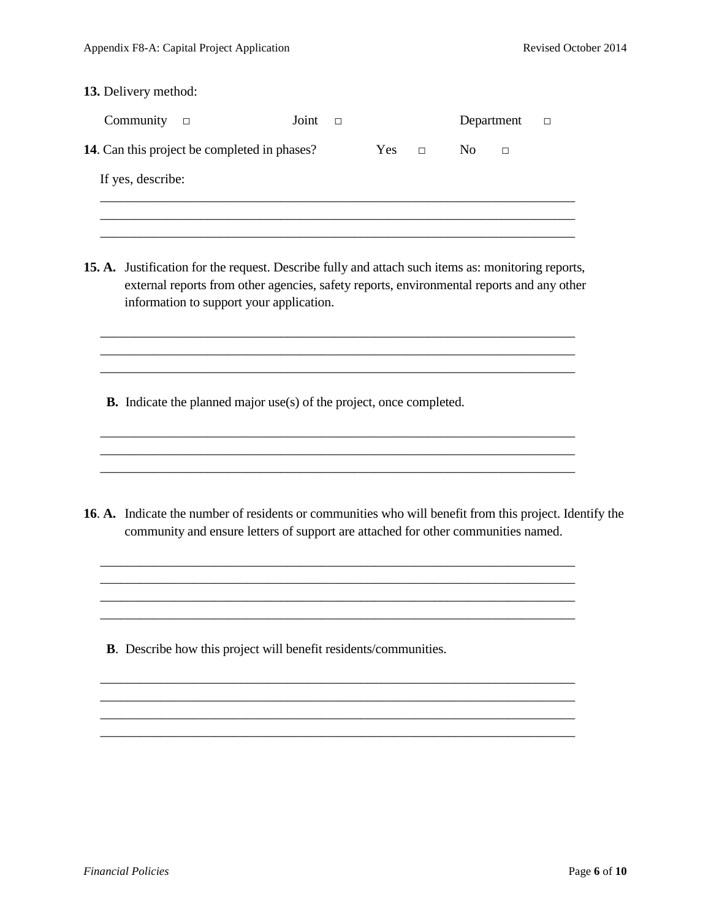|  | 13. Delivery method: |        |                                                                                                                                                                                                                                             |       |        |     |        |                |            |                                                                                                         |  |
|--|----------------------|--------|---------------------------------------------------------------------------------------------------------------------------------------------------------------------------------------------------------------------------------------------|-------|--------|-----|--------|----------------|------------|---------------------------------------------------------------------------------------------------------|--|
|  | Community            | $\Box$ |                                                                                                                                                                                                                                             | Joint | $\Box$ |     |        |                | Department | $\Box$                                                                                                  |  |
|  |                      |        | 14. Can this project be completed in phases?                                                                                                                                                                                                |       |        | Yes | $\Box$ | N <sub>o</sub> | $\Box$     |                                                                                                         |  |
|  | If yes, describe:    |        |                                                                                                                                                                                                                                             |       |        |     |        |                |            |                                                                                                         |  |
|  |                      |        | 15. A. Justification for the request. Describe fully and attach such items as: monitoring reports,<br>external reports from other agencies, safety reports, environmental reports and any other<br>information to support your application. |       |        |     |        |                |            |                                                                                                         |  |
|  |                      |        | <b>B.</b> Indicate the planned major use(s) of the project, once completed.                                                                                                                                                                 |       |        |     |        |                |            |                                                                                                         |  |
|  |                      |        | community and ensure letters of support are attached for other communities named.                                                                                                                                                           |       |        |     |        |                |            | 16. A. Indicate the number of residents or communities who will benefit from this project. Identify the |  |
|  |                      |        |                                                                                                                                                                                                                                             |       |        |     |        |                |            |                                                                                                         |  |

\_\_\_\_\_\_\_\_\_\_\_\_\_\_\_\_\_\_\_\_\_\_\_\_\_\_\_\_\_\_\_\_\_\_\_\_\_\_\_\_\_\_\_\_\_\_\_\_\_\_\_\_\_\_\_\_\_\_\_\_\_\_\_\_\_\_\_\_\_\_\_

\_\_\_\_\_\_\_\_\_\_\_\_\_\_\_\_\_\_\_\_\_\_\_\_\_\_\_\_\_\_\_\_\_\_\_\_\_\_\_\_\_\_\_\_\_\_\_\_\_\_\_\_\_\_\_\_\_\_\_\_\_\_\_\_\_\_\_\_\_\_\_ \_\_\_\_\_\_\_\_\_\_\_\_\_\_\_\_\_\_\_\_\_\_\_\_\_\_\_\_\_\_\_\_\_\_\_\_\_\_\_\_\_\_\_\_\_\_\_\_\_\_\_\_\_\_\_\_\_\_\_\_\_\_\_\_\_\_\_\_\_\_\_ \_\_\_\_\_\_\_\_\_\_\_\_\_\_\_\_\_\_\_\_\_\_\_\_\_\_\_\_\_\_\_\_\_\_\_\_\_\_\_\_\_\_\_\_\_\_\_\_\_\_\_\_\_\_\_\_\_\_\_\_\_\_\_\_\_\_\_\_\_\_\_ \_\_\_\_\_\_\_\_\_\_\_\_\_\_\_\_\_\_\_\_\_\_\_\_\_\_\_\_\_\_\_\_\_\_\_\_\_\_\_\_\_\_\_\_\_\_\_\_\_\_\_\_\_\_\_\_\_\_\_\_\_\_\_\_\_\_\_\_\_\_\_

**B**. Describe how this project will benefit residents/communities.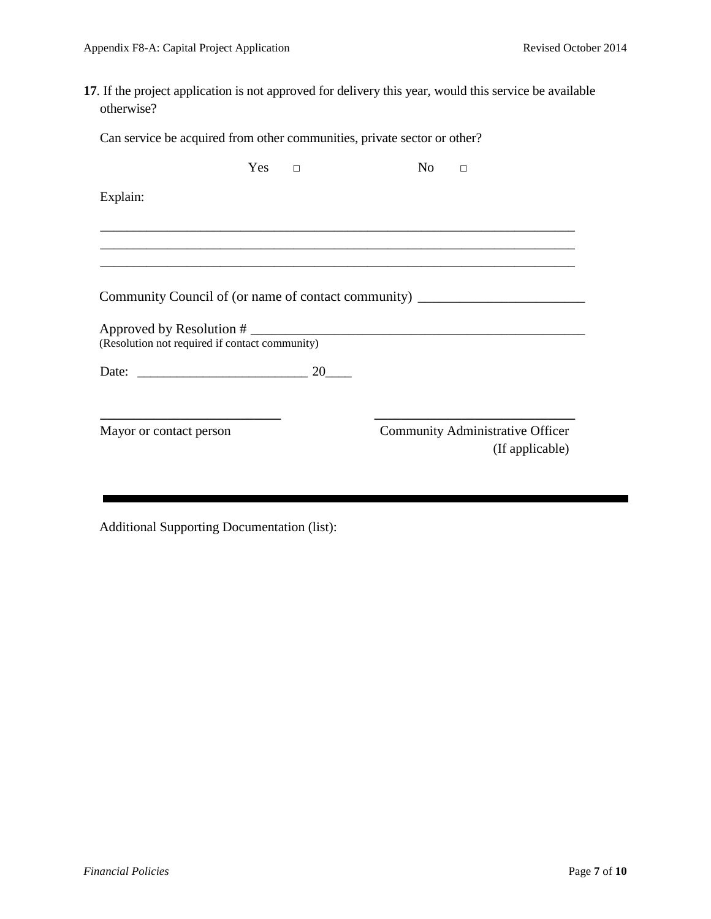**17**. If the project application is not approved for delivery this year, would this service be available otherwise?

Can service be acquired from other communities, private sector or other?

|                                                                                                                       | Yes | $\Box$ | No. | П                                                   |
|-----------------------------------------------------------------------------------------------------------------------|-----|--------|-----|-----------------------------------------------------|
| Explain:                                                                                                              |     |        |     |                                                     |
|                                                                                                                       |     |        |     |                                                     |
|                                                                                                                       |     |        |     |                                                     |
| Community Council of (or name of contact community)                                                                   |     |        |     |                                                     |
| Approved by Resolution #<br>(Resolution not required if contact community)                                            |     |        |     |                                                     |
| Date: 20                                                                                                              |     |        |     |                                                     |
| <u> 1980 - Johann John Stone, markin amerikan bisa di sebagai pertama dan bagi pertama dan bagi pertama dan bagi </u> |     |        |     |                                                     |
| Mayor or contact person                                                                                               |     |        |     | Community Administrative Officer<br>(If applicable) |

Additional Supporting Documentation (list):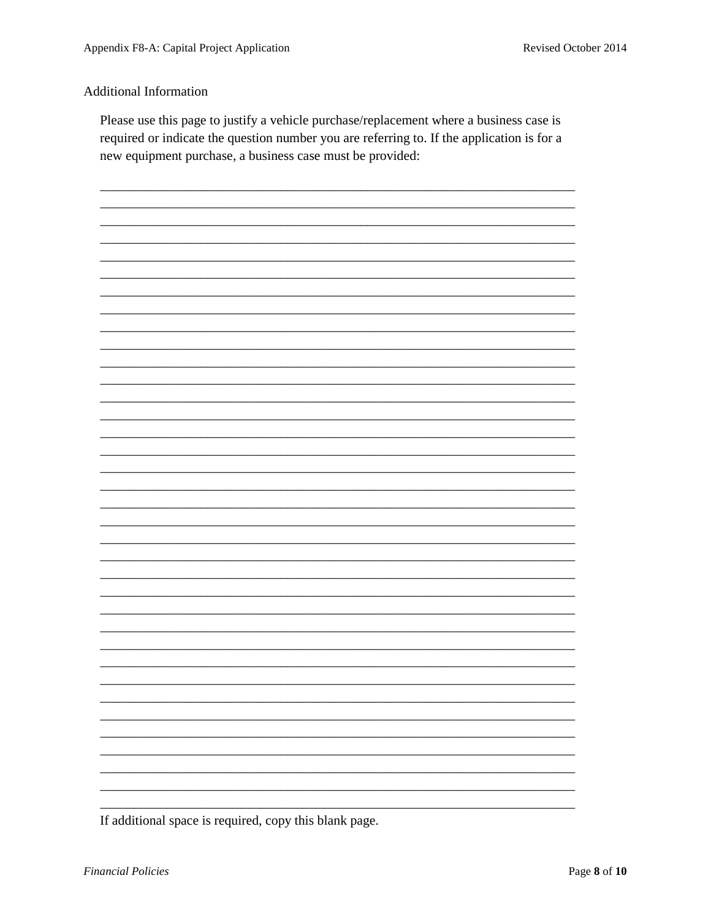## **Additional Information**

Please use this page to justify a vehicle purchase/replacement where a business case is required or indicate the question number you are referring to. If the application is for a new equipment purchase, a business case must be provided:



If additional space is required, copy this blank page.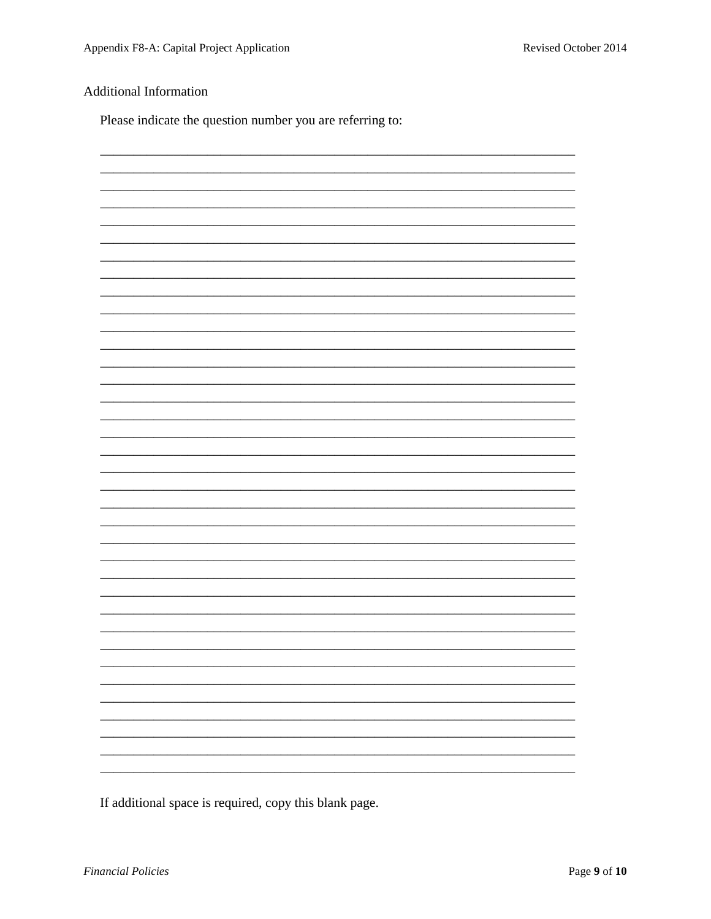## **Additional Information**

Please indicate the question number you are referring to:

If additional space is required, copy this blank page.